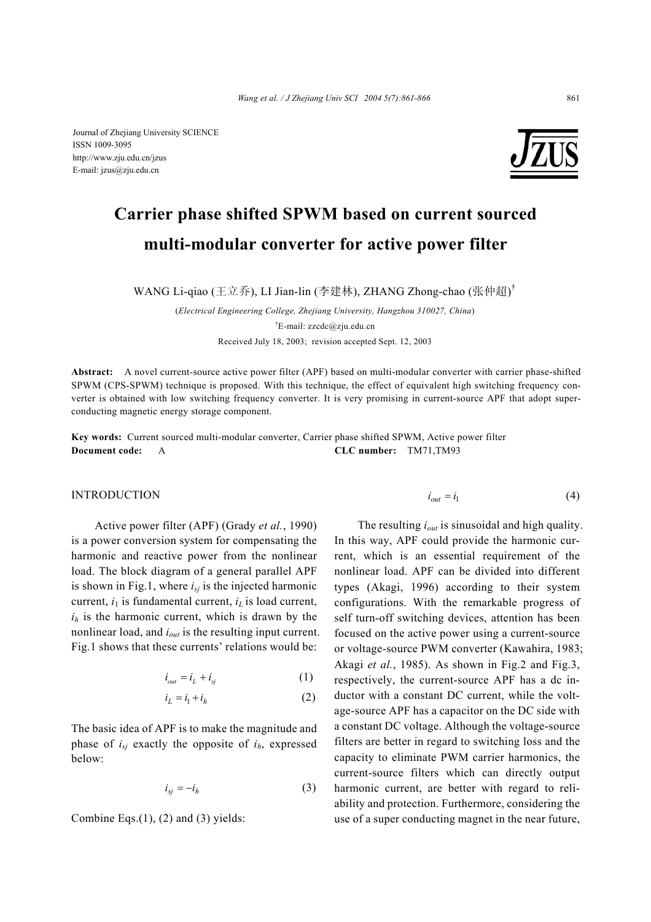

# **Carrier phase shifted SPWM based on current sourced multi-modular converter for active power filter**

WANG Li-qiao (王立乔), LI Jian-lin (李建林), ZHANG Zhong-chao (张仲超)<sup>†</sup>

(*Electrical Engineering College, Zhejiang University, Hangzhou 310027, China*) † E-mail: zzcdc@zju.edu.cn Received July 18, 2003; revision accepted Sept. 12, 2003

**Abstract:** A novel current-source active power filter (APF) based on multi-modular converter with carrier phase-shifted SPWM (CPS-SPWM) technique is proposed. With this technique, the effect of equivalent high switching frequency converter is obtained with low switching frequency converter. It is very promising in current-source APF that adopt superconducting magnetic energy storage component.

**Key words:** Current sourced multi-modular converter, Carrier phase shifted SPWM, Active power filter **Document code:** A **CLC number:** TM71,TM93

#### INTRODUCTION

Active power filter (APF) (Grady *et al.*, 1990) is a power conversion system for compensating the harmonic and reactive power from the nonlinear load. The block diagram of a general parallel APF is shown in Fig.1, where  $i_{sj}$  is the injected harmonic current,  $i_1$  is fundamental current,  $i_L$  is load current,  $i_h$  is the harmonic current, which is drawn by the nonlinear load, and *iout* is the resulting input current. Fig.1 shows that these currents' relations would be:

$$
i_{out} = i_L + i_{sj} \tag{1}
$$

$$
i_L = i_1 + i_h \tag{2}
$$

The basic idea of APF is to make the magnitude and phase of *isj* exactly the opposite of *ih*, expressed below:

$$
i_{sj} = -i_h \tag{3}
$$

Combine Eqs. $(1)$ ,  $(2)$  and  $(3)$  yields:

$$
i_{out} = i_1 \tag{4}
$$

The resulting *iout* is sinusoidal and high quality. In this way, APF could provide the harmonic current, which is an essential requirement of the nonlinear load. APF can be divided into different types (Akagi, 1996) according to their system configurations. With the remarkable progress of self turn-off switching devices, attention has been focused on the active power using a current-source or voltage-source PWM converter (Kawahira, 1983; Akagi *et al.*, 1985). As shown in Fig.2 and Fig.3, respectively, the current-source APF has a dc inductor with a constant DC current, while the voltage-source APF has a capacitor on the DC side with a constant DC voltage. Although the voltage-source filters are better in regard to switching loss and the capacity to eliminate PWM carrier harmonics, the current-source filters which can directly output harmonic current, are better with regard to reliability and protection. Furthermore, considering the use of a super conducting magnet in the near future,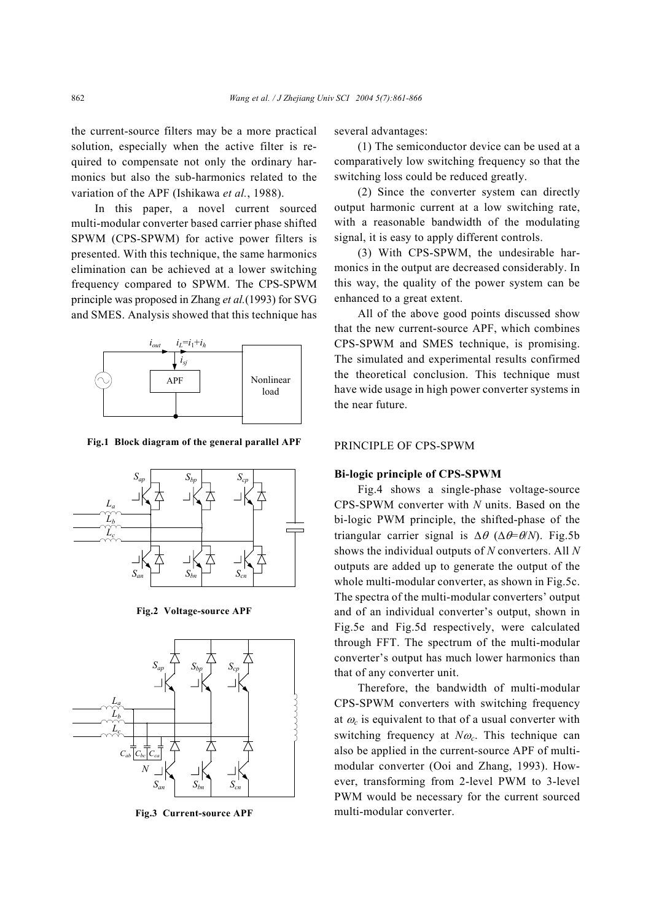the current-source filters may be a more practical solution, especially when the active filter is required to compensate not only the ordinary harmonics but also the sub-harmonics related to the variation of the APF (Ishikawa *et al.*, 1988).

In this paper, a novel current sourced multi-modular converter based carrier phase shifted SPWM (CPS-SPWM) for active power filters is presented. With this technique, the same harmonics elimination can be achieved at a lower switching frequency compared to SPWM. The CPS-SPWM principle was proposed in Zhang *et al.*(1993) for SVG and SMES. Analysis showed that this technique has



**Fig.1 Block diagram of the general parallel APF** 



**Fig.2 Voltage-source APF** 



**Fig.3 Current-source APF** 

several advantages:

(1) The semiconductor device can be used at a comparatively low switching frequency so that the switching loss could be reduced greatly.

(2) Since the converter system can directly output harmonic current at a low switching rate, with a reasonable bandwidth of the modulating signal, it is easy to apply different controls.

(3) With CPS-SPWM, the undesirable harmonics in the output are decreased considerably. In this way, the quality of the power system can be enhanced to a great extent.

All of the above good points discussed show that the new current-source APF, which combines CPS-SPWM and SMES technique, is promising. The simulated and experimental results confirmed the theoretical conclusion. This technique must have wide usage in high power converter systems in the near future.

# PRINCIPLE OF CPS-SPWM

## **Bi-logic principle of CPS-SPWM**

Fig.4 shows a single-phase voltage-source CPS-SPWM converter with *N* units. Based on the bi-logic PWM principle, the shifted-phase of the triangular carrier signal is ∆θ (∆θ=θ/*N*). Fig.5b shows the individual outputs of *N* converters. All *N* outputs are added up to generate the output of the whole multi-modular converter, as shown in Fig.5c. The spectra of the multi-modular converters' output and of an individual converter's output, shown in Fig.5e and Fig.5d respectively, were calculated through FFT. The spectrum of the multi-modular converter's output has much lower harmonics than that of any converter unit.

Therefore, the bandwidth of multi-modular CPS-SPWM converters with switching frequency at  $\omega_c$  is equivalent to that of a usual converter with switching frequency at *N*<sup>ω</sup>*c*. This technique can also be applied in the current-source APF of multimodular converter (Ooi and Zhang, 1993). However, transforming from 2-level PWM to 3-level PWM would be necessary for the current sourced multi-modular converter.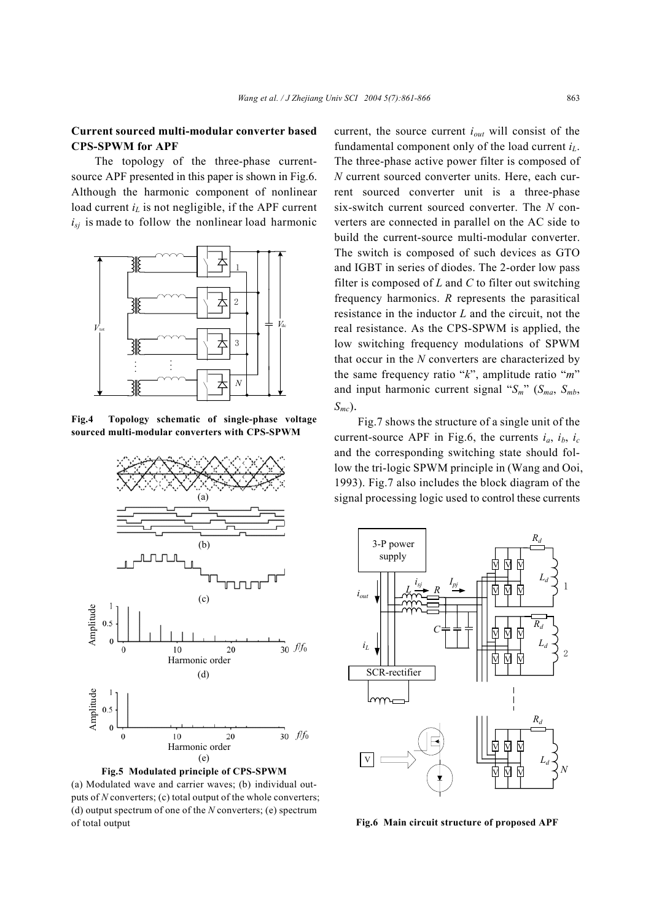# **Current sourced multi-modular converter based CPS-SPWM for APF**

The topology of the three-phase currentsource APF presented in this paper is shown in Fig.6. Although the harmonic component of nonlinear load current  $i<sub>L</sub>$  is not negligible, if the APF current  $i_{si}$  is made to follow the nonlinear load harmonic



**Fig.4 Topology schematic of single-phase voltage sourced multi-modular converters with CPS-SPWM** 



(a) Modulated wave and carrier waves; (b) individual outputs of *N* converters; (c) total output of the whole converters; (d) output spectrum of one of the *N* converters; (e) spectrum of total output

current, the source current *iout* will consist of the fundamental component only of the load current *iL*. The three-phase active power filter is composed of *N* current sourced converter units. Here, each current sourced converter unit is a three-phase six-switch current sourced converter. The *N* converters are connected in parallel on the AC side to build the current-source multi-modular converter. The switch is composed of such devices as GTO and IGBT in series of diodes. The 2-order low pass filter is composed of *L* and *C* to filter out switching frequency harmonics. *R* represents the parasitical resistance in the inductor *L* and the circuit, not the real resistance. As the CPS-SPWM is applied, the low switching frequency modulations of SPWM that occur in the *N* converters are characterized by the same frequency ratio "*k*", amplitude ratio "*m*" and input harmonic current signal " $S_m$ " ( $S_{ma}$ ,  $S_{mb}$ , *Smc*).

Fig.7 shows the structure of a single unit of the current-source APF in Fig.6, the currents  $i_a$ ,  $i_b$ ,  $i_c$ and the corresponding switching state should follow the tri-logic SPWM principle in (Wang and Ooi, 1993). Fig.7 also includes the block diagram of the signal processing logic used to control these currents



**Fig.6 Main circuit structure of proposed APF**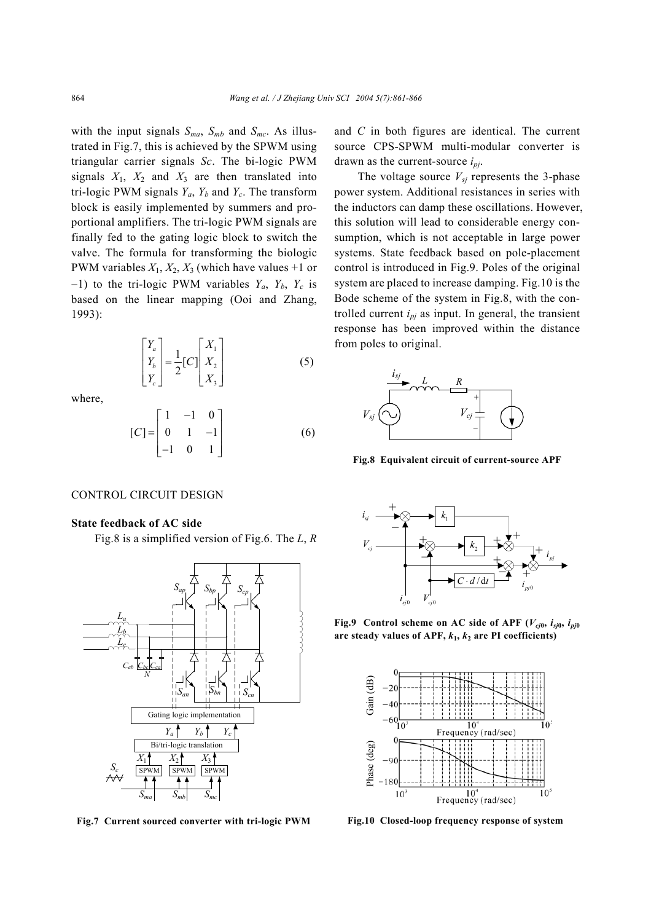with the input signals  $S_{ma}$ ,  $S_{mb}$  and  $S_{mc}$ . As illustrated in Fig.7, this is achieved by the SPWM using triangular carrier signals *Sc*. The bi-logic PWM signals  $X_1$ ,  $X_2$  and  $X_3$  are then translated into tri-logic PWM signals  $Y_a$ ,  $Y_b$  and  $Y_c$ . The transform block is easily implemented by summers and proportional amplifiers. The tri-logic PWM signals are finally fed to the gating logic block to switch the valve. The formula for transforming the biologic PWM variables  $X_1, X_2, X_3$  (which have values +1 or  $-1$ ) to the tri-logic PWM variables  $Y_a$ ,  $Y_b$ ,  $Y_c$  is based on the linear mapping (Ooi and Zhang, 1993):

$$
\begin{bmatrix} Y_a \\ Y_b \\ Y_c \end{bmatrix} = \frac{1}{2} [C] \begin{bmatrix} X_1 \\ X_2 \\ X_3 \end{bmatrix}
$$
 (5)

where,

$$
[C] = \begin{bmatrix} 1 & -1 & 0 \\ 0 & 1 & -1 \\ -1 & 0 & 1 \end{bmatrix}
$$
 (6)

#### CONTROL CIRCUIT DESIGN

# **State feedback of AC side**

Fig.8 is a simplified version of Fig.6. The *L*, *R* 



**Fig.7 Current sourced converter with tri-logic PWM**

and *C* in both figures are identical. The current source CPS-SPWM multi-modular converter is drawn as the current-source *ipj*.

The voltage source  $V_{si}$  represents the 3-phase power system. Additional resistances in series with the inductors can damp these oscillations. However, this solution will lead to considerable energy consumption, which is not acceptable in large power systems. State feedback based on pole-placement control is introduced in Fig.9. Poles of the original system are placed to increase damping. Fig.10 is the Bode scheme of the system in Fig.8, with the controlled current  $i_{pj}$  as input. In general, the transient response has been improved within the distance from poles to original.



**Fig.8 Equivalent circuit of current-source APF** 



**Fig.9** Control scheme on AC side of APF ( $V_{cj0}$ ,  $i_{sj0}$ ,  $i_{pj0}$ are steady values of APF,  $k_1$ ,  $k_2$  are PI coefficients)



**Fig.10 Closed-loop frequency response of system**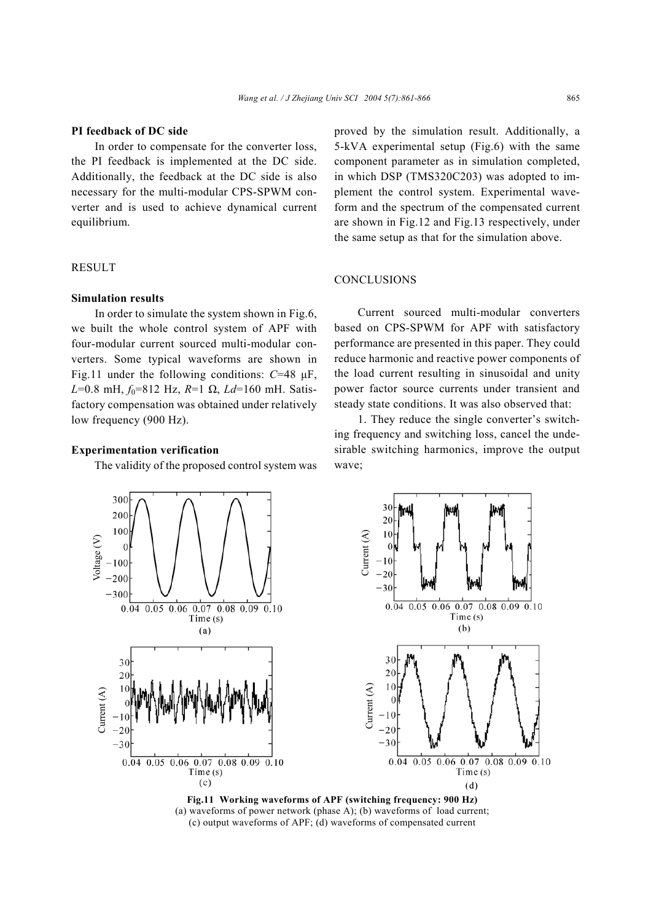#### **PI feedback of DC side**

In order to compensate for the converter loss, the PI feedback is implemented at the DC side. Additionally, the feedback at the DC side is also necessary for the multi-modular CPS-SPWM converter and is used to achieve dynamical current equilibrium.

# **RESULT**

## **Simulation results**

In order to simulate the system shown in Fig.6, we built the whole control system of APF with four-modular current sourced multi-modular converters. Some typical waveforms are shown in Fig.11 under the following conditions: *C*=48 µF, *L*=0.8 mH,  $f_0$ =812 Hz, *R*=1 Ω, *Ld*=160 mH. Satisfactory compensation was obtained under relatively low frequency (900 Hz).

# **Experimentation verification**

The validity of the proposed control system was

proved by the simulation result. Additionally, a 5-kVA experimental setup (Fig.6) with the same component parameter as in simulation completed, in which DSP (TMS320C203) was adopted to implement the control system. Experimental waveform and the spectrum of the compensated current are shown in Fig.12 and Fig.13 respectively, under the same setup as that for the simulation above.

## **CONCLUSIONS**

Current sourced multi-modular converters based on CPS-SPWM for APF with satisfactory performance are presented in this paper. They could reduce harmonic and reactive power components of the load current resulting in sinusoidal and unity power factor source currents under transient and steady state conditions. It was also observed that:

1. They reduce the single converter's switching frequency and switching loss, cancel the undesirable switching harmonics, improve the output wave;



**Fig.11 Working waveforms of APF (switching frequency: 900 Hz)**  (a) waveforms of power network (phase A); (b) waveforms of load current; (c) output waveforms of APF; (d) waveforms of compensated current